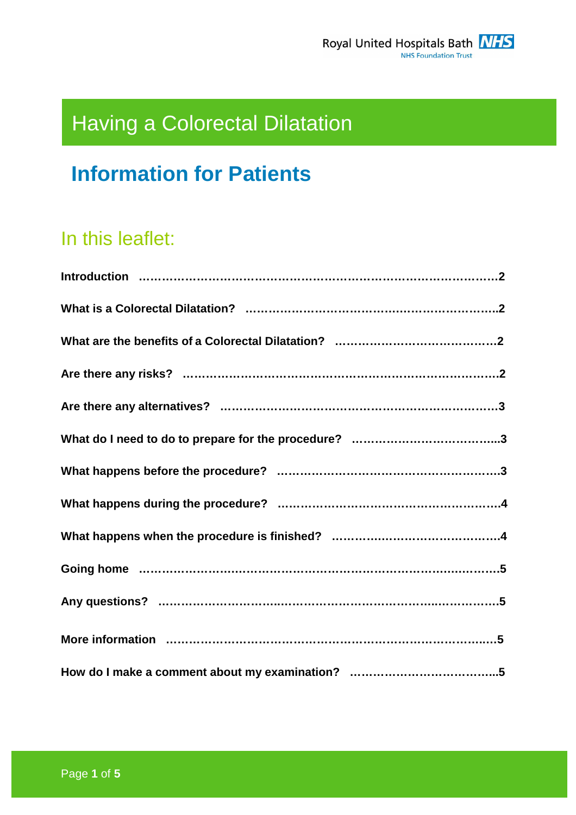# Having a Colorectal Dilatation

# **Information for Patients**

# In this leaflet: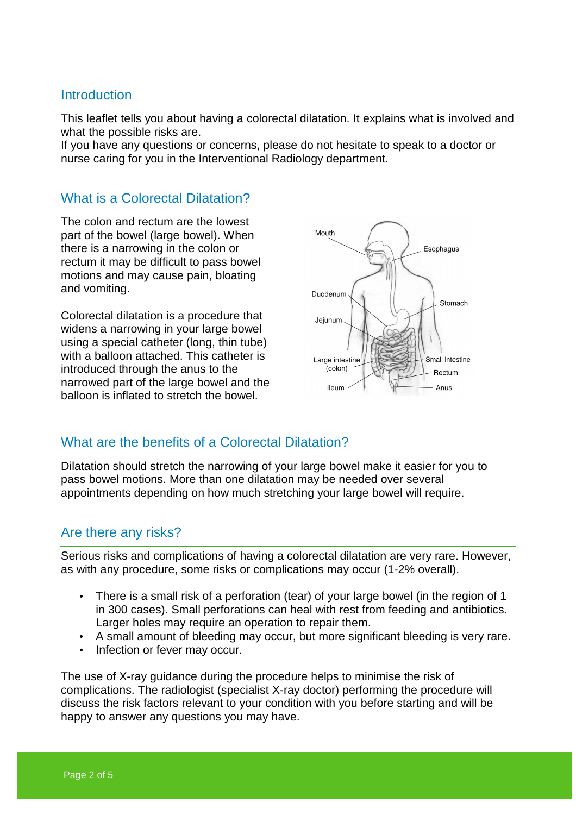#### **Introduction**

This leaflet tells you about having a colorectal dilatation. It explains what is involved and what the possible risks are.

If you have any questions or concerns, please do not hesitate to speak to a doctor or nurse caring for you in the Interventional Radiology department.

#### What is a Colorectal Dilatation?

The colon and rectum are the lowest part of the bowel (large bowel). When there is a narrowing in the colon or rectum it may be difficult to pass bowel motions and may cause pain, bloating and vomiting.

Colorectal dilatation is a procedure that widens a narrowing in your large bowel using a special catheter (long, thin tube) with a balloon attached. This catheter is introduced through the anus to the narrowed part of the large bowel and the balloon is inflated to stretch the bowel.



## What are the benefits of a Colorectal Dilatation?

Dilatation should stretch the narrowing of your large bowel make it easier for you to pass bowel motions. More than one dilatation may be needed over several appointments depending on how much stretching your large bowel will require.

#### Are there any risks?

Serious risks and complications of having a colorectal dilatation are very rare. However, as with any procedure, some risks or complications may occur (1-2% overall).

- There is a small risk of a perforation (tear) of your large bowel (in the region of 1 in 300 cases). Small perforations can heal with rest from feeding and antibiotics. Larger holes may require an operation to repair them.
- A small amount of bleeding may occur, but more significant bleeding is very rare.
- Infection or fever may occur.

The use of X-ray guidance during the procedure helps to minimise the risk of complications. The radiologist (specialist X-ray doctor) performing the procedure will discuss the risk factors relevant to your condition with you before starting and will be happy to answer any questions you may have.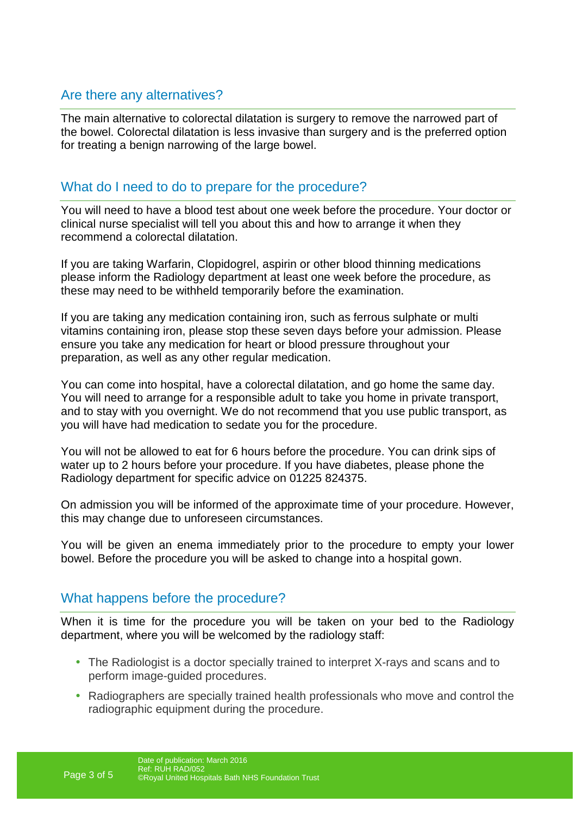# Are there any alternatives?

The main alternative to colorectal dilatation is surgery to remove the narrowed part of the bowel. Colorectal dilatation is less invasive than surgery and is the preferred option for treating a benign narrowing of the large bowel.

# What do I need to do to prepare for the procedure?

You will need to have a blood test about one week before the procedure. Your doctor or clinical nurse specialist will tell you about this and how to arrange it when they recommend a colorectal dilatation.

If you are taking Warfarin, Clopidogrel, aspirin or other blood thinning medications please inform the Radiology department at least one week before the procedure, as these may need to be withheld temporarily before the examination.

If you are taking any medication containing iron, such as ferrous sulphate or multi vitamins containing iron, please stop these seven days before your admission. Please ensure you take any medication for heart or blood pressure throughout your preparation, as well as any other regular medication.

You can come into hospital, have a colorectal dilatation, and go home the same day. You will need to arrange for a responsible adult to take you home in private transport, and to stay with you overnight. We do not recommend that you use public transport, as you will have had medication to sedate you for the procedure.

You will not be allowed to eat for 6 hours before the procedure. You can drink sips of water up to 2 hours before your procedure. If you have diabetes, please phone the Radiology department for specific advice on 01225 824375.

On admission you will be informed of the approximate time of your procedure. However, this may change due to unforeseen circumstances.

You will be given an enema immediately prior to the procedure to empty your lower bowel. Before the procedure you will be asked to change into a hospital gown.

## What happens before the procedure?

When it is time for the procedure you will be taken on your bed to the Radiology department, where you will be welcomed by the radiology staff:

- The Radiologist is a doctor specially trained to interpret X-rays and scans and to perform image-guided procedures.
- Radiographers are specially trained health professionals who move and control the radiographic equipment during the procedure.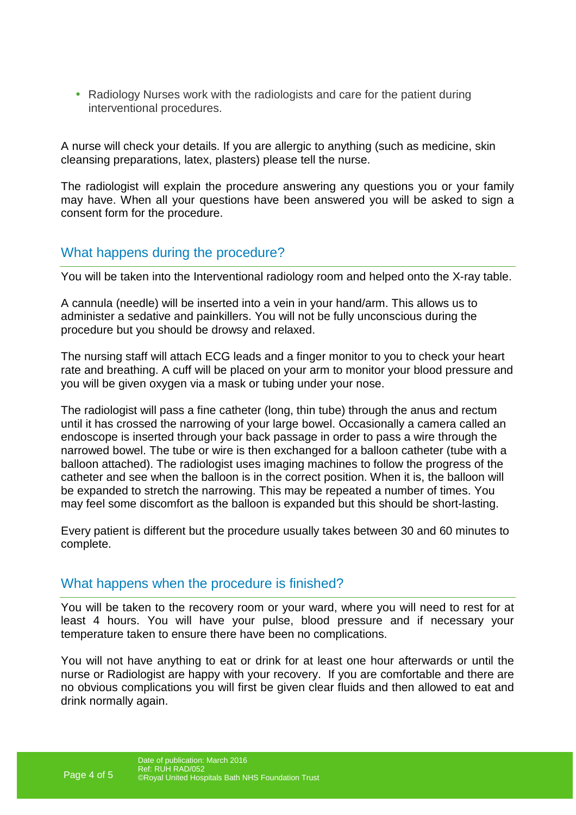• Radiology Nurses work with the radiologists and care for the patient during interventional procedures.

A nurse will check your details. If you are allergic to anything (such as medicine, skin cleansing preparations, latex, plasters) please tell the nurse.

The radiologist will explain the procedure answering any questions you or your family may have. When all your questions have been answered you will be asked to sign a consent form for the procedure.

# What happens during the procedure?

You will be taken into the Interventional radiology room and helped onto the X-ray table.

A cannula (needle) will be inserted into a vein in your hand/arm. This allows us to administer a sedative and painkillers. You will not be fully unconscious during the procedure but you should be drowsy and relaxed.

The nursing staff will attach ECG leads and a finger monitor to you to check your heart rate and breathing. A cuff will be placed on your arm to monitor your blood pressure and you will be given oxygen via a mask or tubing under your nose.

The radiologist will pass a fine catheter (long, thin tube) through the anus and rectum until it has crossed the narrowing of your large bowel. Occasionally a camera called an endoscope is inserted through your back passage in order to pass a wire through the narrowed bowel. The tube or wire is then exchanged for a balloon catheter (tube with a balloon attached). The radiologist uses imaging machines to follow the progress of the catheter and see when the balloon is in the correct position. When it is, the balloon will be expanded to stretch the narrowing. This may be repeated a number of times. You may feel some discomfort as the balloon is expanded but this should be short-lasting.

Every patient is different but the procedure usually takes between 30 and 60 minutes to complete.

## What happens when the procedure is finished?

You will be taken to the recovery room or your ward, where you will need to rest for at least 4 hours. You will have your pulse, blood pressure and if necessary your temperature taken to ensure there have been no complications.

You will not have anything to eat or drink for at least one hour afterwards or until the nurse or Radiologist are happy with your recovery. If you are comfortable and there are no obvious complications you will first be given clear fluids and then allowed to eat and drink normally again.